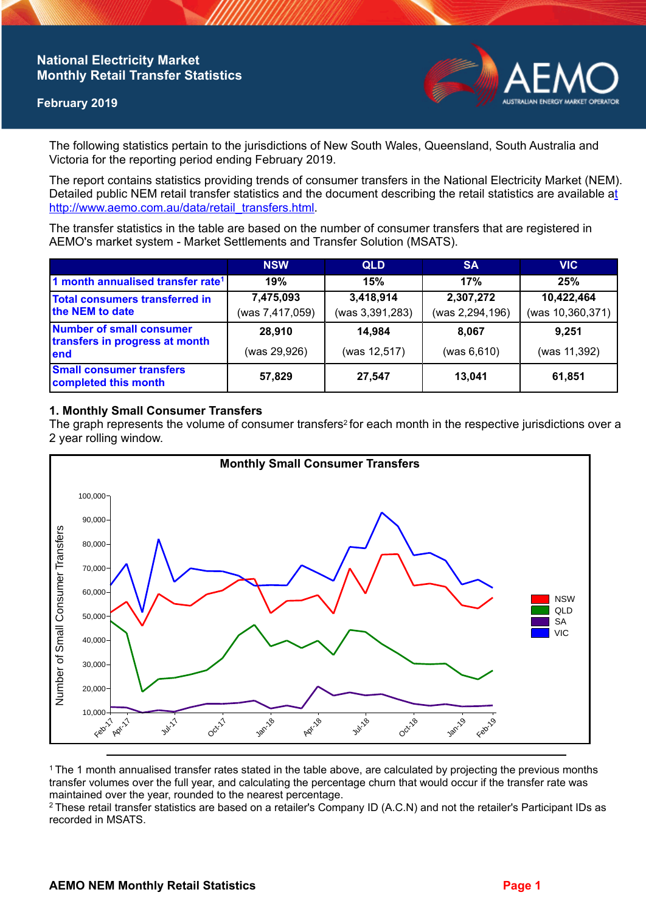## **National Electricity Market Monthly Retail Transfer Statistics**

## **February 2019**



The following statistics pertain to the jurisdictions of New South Wales, Queensland, South Australia and Victoria for the reporting period ending February 2019.

The report contains statistics providing trends of consumer transfers in the National Electricity Market (NEM). Detailed public NEM retail transfer statistics and the document describing the retail statistics are available a[t](http://www.aemo.com.au/data/retail_transfers.html)  http://www.aemo.com.au/data/retail\_transfers.html

The transfer statistics in the table are based on the number of consumer transfers that are registered in AEMO's market system - Market Settlements and Transfer Solution (MSATS).

|                                                                    | <b>NSW</b>                   | <b>QLD</b>                   | <b>SA</b>                    | <b>VIC</b>                     |
|--------------------------------------------------------------------|------------------------------|------------------------------|------------------------------|--------------------------------|
| 1 month annualised transfer rate <sup>1</sup>                      | 19%                          | 15%                          | 17%                          | 25%                            |
| Total consumers transferred in<br>the NEM to date                  | 7,475,093<br>(was 7,417,059) | 3,418,914<br>(was 3,391,283) | 2,307,272<br>(was 2,294,196) | 10,422,464<br>(was 10,360,371) |
| Number of small consumer<br>transfers in progress at month<br>lend | 28,910<br>(was 29,926)       | 14,984<br>(was 12,517)       | 8.067<br>(was 6,610)         | 9.251<br>(was 11,392)          |
| <b>Small consumer transfers</b><br>completed this month            | 57,829                       | 27,547                       | 13.041                       | 61,851                         |

### **1. Monthly Small Consumer Transfers**

The graph represents the volume of consumer transfers<sup>2</sup> for each month in the respective jurisdictions over a 2 year rolling window.



<sup>1</sup>The 1 month annualised transfer rates stated in the table above, are calculated by projecting the previous months transfer volumes over the full year, and calculating the percentage churn that would occur if the transfer rate was maintained over the year, rounded to the nearest percentage.

<sup>2</sup> These retail transfer statistics are based on a retailer's Company ID (A.C.N) and not the retailer's Participant IDs as recorded in MSATS.